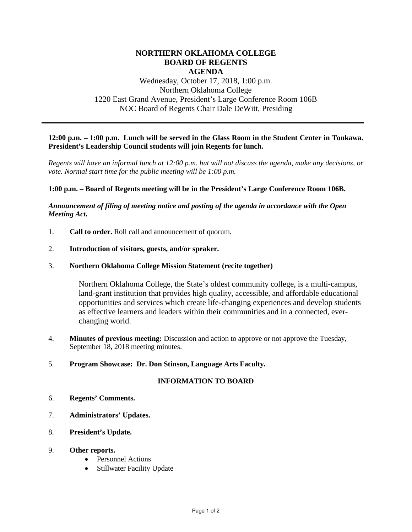# **NORTHERN OKLAHOMA COLLEGE BOARD OF REGENTS AGENDA**

# Wednesday, October 17, 2018, 1:00 p.m. Northern Oklahoma College 1220 East Grand Avenue, President's Large Conference Room 106B NOC Board of Regents Chair Dale DeWitt, Presiding

# **12:00 p.m. – 1:00 p.m. Lunch will be served in the Glass Room in the Student Center in Tonkawa. President's Leadership Council students will join Regents for lunch.**

*Regents will have an informal lunch at 12:00 p.m. but will not discuss the agenda, make any decisions, or vote. Normal start time for the public meeting will be 1:00 p.m.* 

## **1:00 p.m. – Board of Regents meeting will be in the President's Large Conference Room 106B.**

# *Announcement of filing of meeting notice and posting of the agenda in accordance with the Open Meeting Act.*

1. **Call to order.** Roll call and announcement of quorum.

## 2. **Introduction of visitors, guests, and/or speaker.**

## 3. **Northern Oklahoma College Mission Statement (recite together)**

Northern Oklahoma College, the State's oldest community college, is a multi-campus, land-grant institution that provides high quality, accessible, and affordable educational opportunities and services which create life-changing experiences and develop students as effective learners and leaders within their communities and in a connected, everchanging world.

4. **Minutes of previous meeting:** Discussion and action to approve or not approve the Tuesday, September 18, 2018 meeting minutes.

#### 5. **Program Showcase: Dr. Don Stinson, Language Arts Faculty.**

# **INFORMATION TO BOARD**

- 6. **Regents' Comments.**
- 7. **Administrators' Updates.**
- 8. **President's Update.**
- 9. **Other reports.**
	- Personnel Actions
	- Stillwater Facility Update